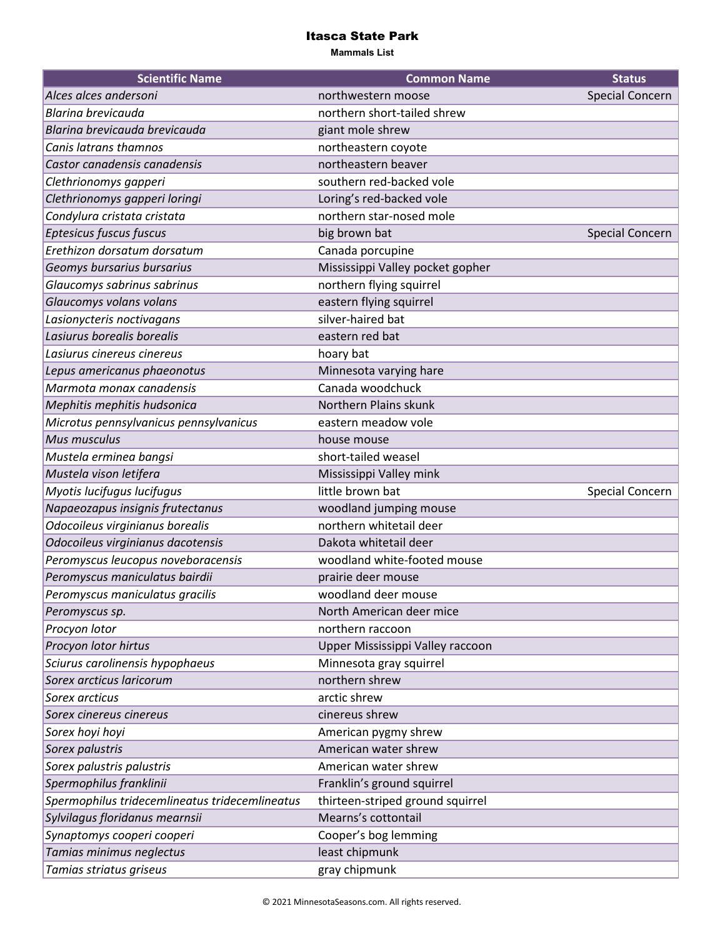## Itasca State Park

**Mammals List**

| <b>Scientific Name</b>                         | <b>Common Name</b>               | <b>Status</b>   |
|------------------------------------------------|----------------------------------|-----------------|
| Alces alces andersoni                          | northwestern moose               | Special Concern |
| <b>Blarina brevicauda</b>                      | northern short-tailed shrew      |                 |
| Blarina brevicauda brevicauda                  | giant mole shrew                 |                 |
| Canis latrans thamnos                          | northeastern coyote              |                 |
| Castor canadensis canadensis                   | northeastern beaver              |                 |
| Clethrionomys gapperi                          | southern red-backed vole         |                 |
| Clethrionomys gapperi loringi                  | Loring's red-backed vole         |                 |
| Condylura cristata cristata                    | northern star-nosed mole         |                 |
| Eptesicus fuscus fuscus                        | big brown bat                    | Special Concern |
| Erethizon dorsatum dorsatum                    | Canada porcupine                 |                 |
| Geomys bursarius bursarius                     | Mississippi Valley pocket gopher |                 |
| Glaucomys sabrinus sabrinus                    | northern flying squirrel         |                 |
| Glaucomys volans volans                        | eastern flying squirrel          |                 |
| Lasionycteris noctivagans                      | silver-haired bat                |                 |
| Lasiurus borealis borealis                     | eastern red bat                  |                 |
| Lasiurus cinereus cinereus                     | hoary bat                        |                 |
| Lepus americanus phaeonotus                    | Minnesota varying hare           |                 |
| Marmota monax canadensis                       | Canada woodchuck                 |                 |
| Mephitis mephitis hudsonica                    | Northern Plains skunk            |                 |
| Microtus pennsylvanicus pennsylvanicus         | eastern meadow vole              |                 |
| Mus musculus                                   | house mouse                      |                 |
| Mustela erminea bangsi                         | short-tailed weasel              |                 |
| Mustela vison letifera                         | Mississippi Valley mink          |                 |
| Myotis lucifugus lucifugus                     | little brown bat                 | Special Concern |
| Napaeozapus insignis frutectanus               | woodland jumping mouse           |                 |
| Odocoileus virginianus borealis                | northern whitetail deer          |                 |
| Odocoileus virginianus dacotensis              | Dakota whitetail deer            |                 |
| Peromyscus leucopus noveboracensis             | woodland white-footed mouse      |                 |
| Peromyscus maniculatus bairdii                 | prairie deer mouse               |                 |
| Peromyscus maniculatus gracilis                | woodland deer mouse              |                 |
| Peromyscus sp.                                 | North American deer mice         |                 |
| Procyon lotor                                  | northern raccoon                 |                 |
| Procyon lotor hirtus                           | Upper Mississippi Valley raccoon |                 |
| Sciurus carolinensis hypophaeus                | Minnesota gray squirrel          |                 |
| Sorex arcticus laricorum                       | northern shrew                   |                 |
| Sorex arcticus                                 | arctic shrew                     |                 |
| Sorex cinereus cinereus                        | cinereus shrew                   |                 |
| Sorex hoyi hoyi                                | American pygmy shrew             |                 |
| Sorex palustris                                | American water shrew             |                 |
| Sorex palustris palustris                      | American water shrew             |                 |
| Spermophilus franklinii                        | Franklin's ground squirrel       |                 |
| Spermophilus tridecemlineatus tridecemlineatus | thirteen-striped ground squirrel |                 |
| Sylvilagus floridanus mearnsii                 | Mearns's cottontail              |                 |
| Synaptomys cooperi cooperi                     | Cooper's bog lemming             |                 |
| Tamias minimus neglectus                       | least chipmunk                   |                 |
| Tamias striatus griseus                        | gray chipmunk                    |                 |